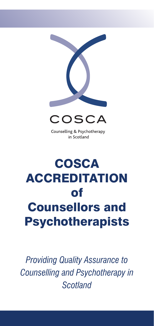



Counselling & Psychotherapy<br>in Scotland

# ol<br>" Counsellors and **Counsellors and COSCA ACCREDITATION** of Psychotherapists

*Counselling and <i>Psychotherapy in Scotland Providing Quality Assurance to Counselling and Psychotherapy in Scotland*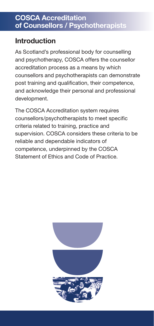## **Introduction**

As Scotland's professional body for counselling and psychotherapy, COSCA offers the counsellor accreditation process as a means by which post training and qualification, their competence, and acknowledge their personal and professional  $p$ ment. counsellors and psychotherapists can demonstrate development.

The COSCA Accreditation system requires counsellors/psychotherapists to meet specific supervision. COSCA considers these criteria to be reliable and dependable indicators of employment potential and opportunities Statement of Ethics and Code of Practice.criteria related to training, practice and competence, underpinned by the COSCA

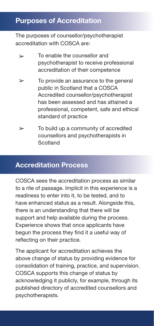### **Purposes of Accreditation**

The purposes of counsellor/psychotherapist accreditation with COSCA are:

- To enable the counsellor and  $\geq$ psychotherapist to receive professional accreditation of their competence
- $\rightarrow$ To provide an assurance to the general public in Scotland that a COSCA Accredited counsellor/psychotherapist has been assessed and has attained a nas been assessed and nas attained a<br>professional, competent, safe and ethical standard of practice
- $\geq$ To build up a community of accredited counsellors and psychotherapists in Scotland **Executes**

#### **Accreditation Process** www.cosca.org.uk

COSCA sees the accreditation process as similar to a rite of passage. Implicit in this experience is a readiness to enter into it, to be tested, and to have enhanced status as a result. Alongside this, there is an understanding that there will be support and help available during the process. Experience shows that once applicants have begun the process they find it a useful way of reflecting on their practice.

Charity Registered in Scotland No. SC018887 above change of status by provising evidence for<br>consolidation of training, practice, and supervision. COSCA supports this change of status by published directory of accredited counsellors and psychotherapists. The applicant for accreditation achieves the above change of status by providing evidence for acknowledging it publicly, for example, through its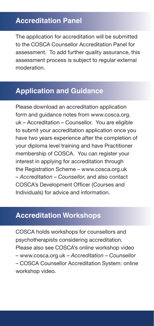### **Accreditation Panel**

The application for accreditation will be submitted to the COSCA Counsellor Accreditation Panel for assessment. To add further quality assurance, this assessment process is subject to regular external moderation.

#### **Application and Guidance**

to submit your accreditation application once you<br>have two years experience after the completion of your diploma lever training and have rifactitione<br>membership of COSCA. You can register your of the Registration Scheme – www.cosca.org.uk COSCA's Development Officer (Courses and<br>Individuals) for advice and information Please download an accreditation application form and guidance notes from www.cosca.org. uk – Accreditation – Counsellor. You are eligible to submit your accreditation application once you your diploma level training and have Practitioner interest in applying for accreditation through – *Accreditation – Counsellor*, and also contact Individuals) for advice and information.

#### **Accreditation Workshops**

*Please also see COSCA's online workshop video*<br>Council assessed argular description Counseller *Counselling and Psychotherapy in* – COSCA Counsellor Accreditation System: online COSCA holds workshops for counsellors and psychotherapists considering accreditation. – www.cosca.org.uk – *Accreditation – Counsellor* workshop video.

Psychotherapists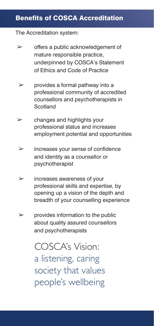#### underpinned by COSCA's Statement of the Code of Altread **Benefits of COSCA Accreditation** mature responsible practice, of Ethics and Code of Practice

#### The Accreditation system:

- $\triangleright$  offers a public acknowledgement of mature responsible practice, underpinned by COSCA's Statement of Ethics and Code of Practice
- $\triangleright$  provides a formal pathway into a professional community of accredited counsellors and psychotherapists in  $\mathcal{L}$  of the United Kingdom  $\mathcal{L}$ Scotland **Register** of Counsellors (UKRC)
- $\triangleright$  changes and highlights your employment potential and opportunities professional status and increases
	- employment potential and opportunities and identity as a counsellor or  $\triangleright$  increases your sense of confidence psychotherapist
	- $\triangleright$  increases awareness of your professional skills and expertise, by opening up a vision of the depth and breadth of your counselling experience
	- $\triangleright$  provides information to the public about quality assured counsellors and psychotherapists

COSCA's Vision: a listening, caring society that values society that values people's wellbeing